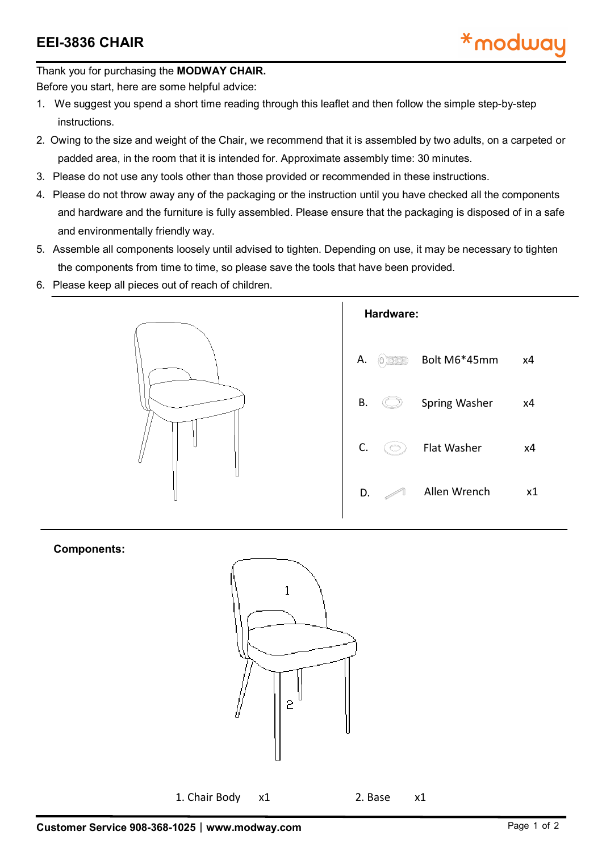Thank you for purchasing the **MODWAY CHAIR.**

Before you start, here are some helpful advice:

- 1. We suggest you spend a short time reading through this leaflet and then follow the simple step-by-step instructions.
- 2. Owing to the size and weight of the Chair, we recommend that it is assembled by two adults, on a carpeted or padded area, in the room that it is intended for. Approximate assembly time: 30 minutes.
- 3. Please do not use any tools other than those provided or recommended in these instructions.
- 4. Please do not throw away any of the packaging or the instruction until you have checked all the components and hardware and the furniture is fully assembled. Please ensure that the packaging is disposed of in a safe and environmentally friendly way.
- 5. Assemble all components loosely until advised to tighten. Depending on use, it may be necessary to tighten the components from time to time, so please save the tools that have been provided.
- 6. Please keep all pieces out of reach of children.



## **Components:**



1. Chair Body x1 2. Base x1